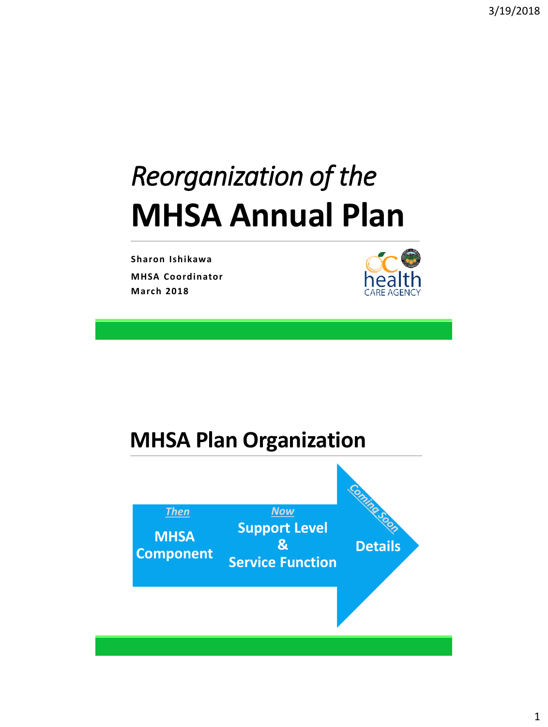# *Reorganization of the* **MHSA Annual Plan**

**Sharon Ishikawa MHSA Coordinator March 2018**



#### **MHSA Plan Organization**

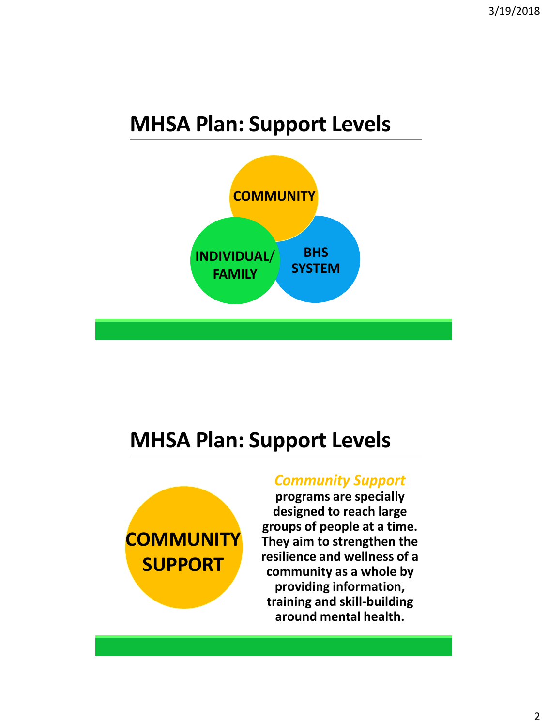#### **MHSA Plan: Support Levels**



#### **MHSA Plan: Support Levels**



#### *Community Support*

**programs are specially designed to reach large groups of people at a time. They aim to strengthen the resilience and wellness of a community as a whole by providing information, training and skill-building around mental health.**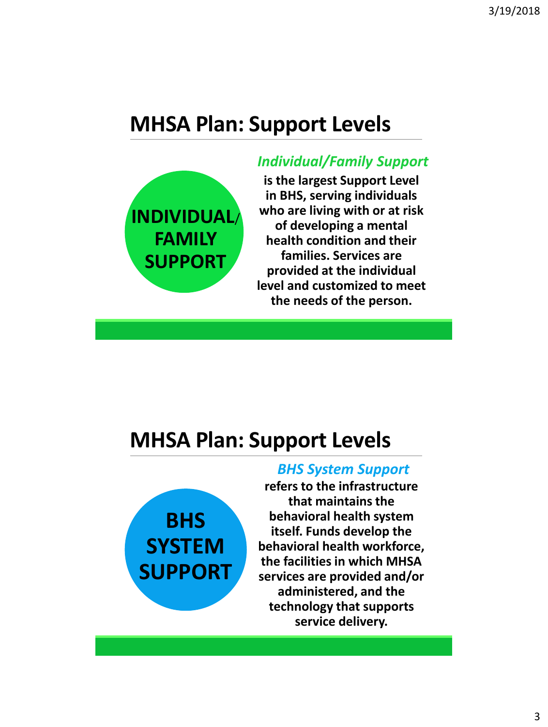#### **MHSA Plan: Support Levels**



#### *Individual/Family Support*

**is the largest Support Level in BHS, serving individuals who are living with or at risk of developing a mental health condition and their families. Services are provided at the individual level and customized to meet the needs of the person.** 

#### **MHSA Plan: Support Levels**



#### *BHS System Support*

**refers to the infrastructure that maintains the behavioral health system itself. Funds develop the behavioral health workforce, the facilities in which MHSA services are provided and/or administered, and the technology that supports service delivery.**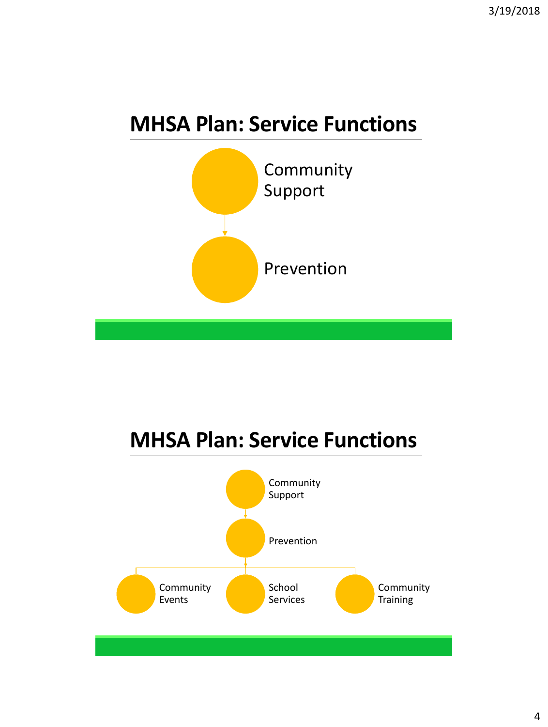### **MHSA Plan: Service Functions**



### **MHSA Plan: Service Functions**

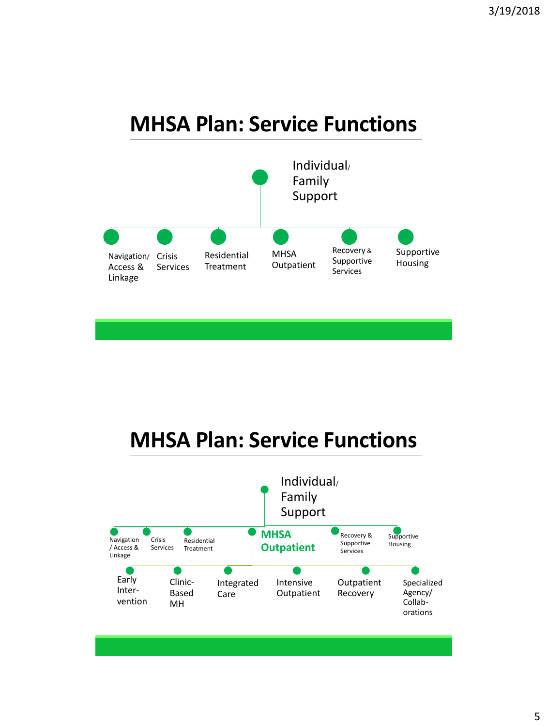#### **MHSA Plan: Service Functions**



### **MHSA Plan: Service Functions**

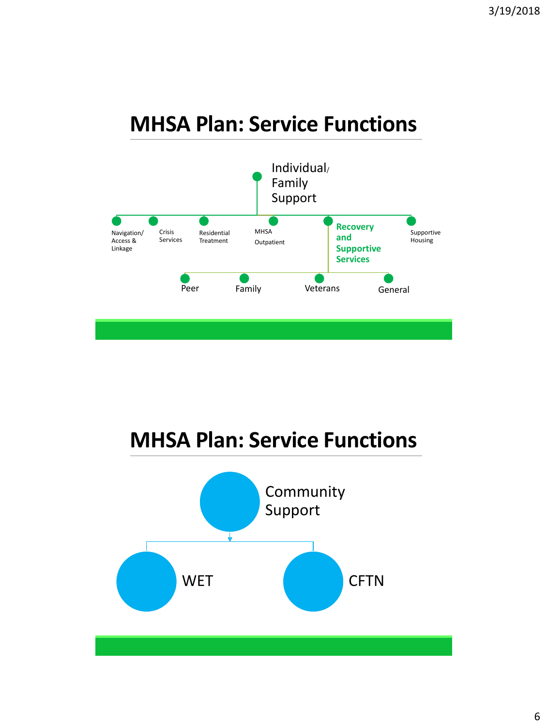#### **MHSA Plan: Service Functions**





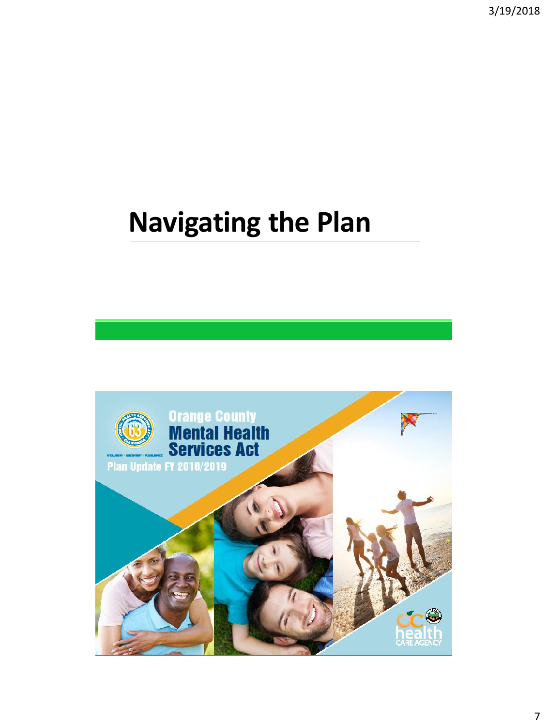3/19/2018

# **Navigating the Plan**

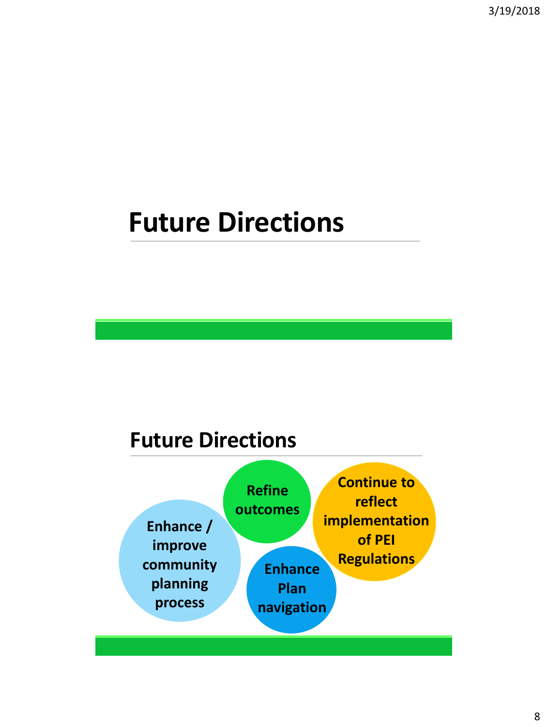## **Future Directions**

#### **Future Directions**